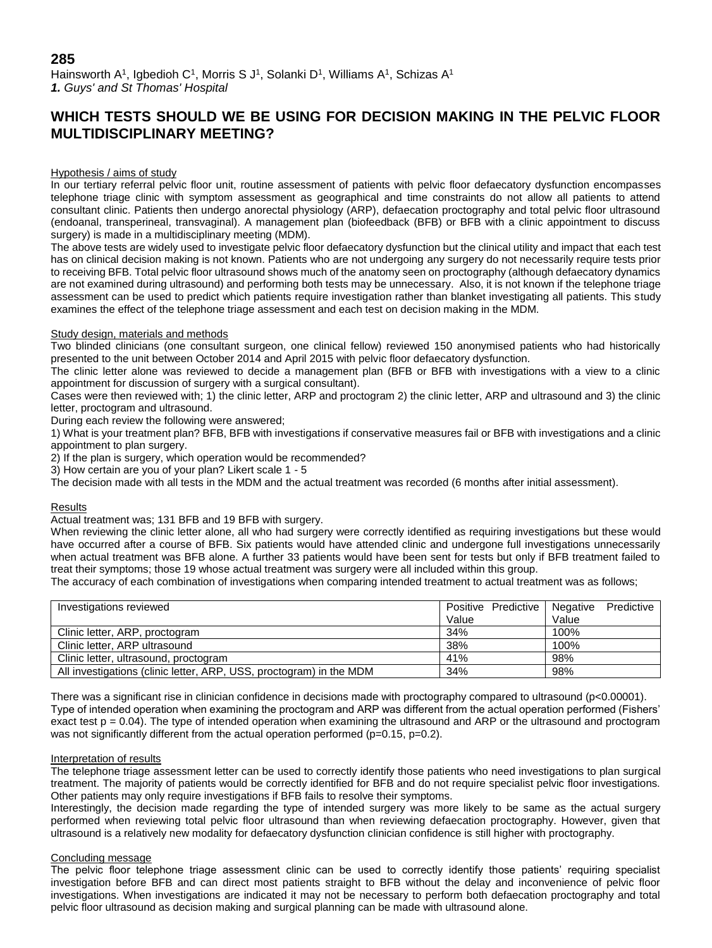## **285**

Hainsworth A<sup>1</sup>, Igbedioh C<sup>1</sup>, Morris S J<sup>1</sup>, Solanki D<sup>1</sup>, Williams A<sup>1</sup>, Schizas A<sup>1</sup> *1. Guys' and St Thomas' Hospital*

# **WHICH TESTS SHOULD WE BE USING FOR DECISION MAKING IN THE PELVIC FLOOR MULTIDISCIPLINARY MEETING?**

### Hypothesis / aims of study

In our tertiary referral pelvic floor unit, routine assessment of patients with pelvic floor defaecatory dysfunction encompasses telephone triage clinic with symptom assessment as geographical and time constraints do not allow all patients to attend consultant clinic. Patients then undergo anorectal physiology (ARP), defaecation proctography and total pelvic floor ultrasound (endoanal, transperineal, transvaginal). A management plan (biofeedback (BFB) or BFB with a clinic appointment to discuss surgery) is made in a multidisciplinary meeting (MDM).

The above tests are widely used to investigate pelvic floor defaecatory dysfunction but the clinical utility and impact that each test has on clinical decision making is not known. Patients who are not undergoing any surgery do not necessarily require tests prior to receiving BFB. Total pelvic floor ultrasound shows much of the anatomy seen on proctography (although defaecatory dynamics are not examined during ultrasound) and performing both tests may be unnecessary. Also, it is not known if the telephone triage assessment can be used to predict which patients require investigation rather than blanket investigating all patients. This study examines the effect of the telephone triage assessment and each test on decision making in the MDM.

#### Study design, materials and methods

Two blinded clinicians (one consultant surgeon, one clinical fellow) reviewed 150 anonymised patients who had historically presented to the unit between October 2014 and April 2015 with pelvic floor defaecatory dysfunction.

The clinic letter alone was reviewed to decide a management plan (BFB or BFB with investigations with a view to a clinic appointment for discussion of surgery with a surgical consultant).

Cases were then reviewed with; 1) the clinic letter, ARP and proctogram 2) the clinic letter, ARP and ultrasound and 3) the clinic letter, proctogram and ultrasound.

During each review the following were answered;

1) What is your treatment plan? BFB, BFB with investigations if conservative measures fail or BFB with investigations and a clinic appointment to plan surgery.

2) If the plan is surgery, which operation would be recommended?

3) How certain are you of your plan? Likert scale 1 - 5

The decision made with all tests in the MDM and the actual treatment was recorded (6 months after initial assessment).

#### Results

Actual treatment was; 131 BFB and 19 BFB with surgery.

When reviewing the clinic letter alone, all who had surgery were correctly identified as requiring investigations but these would have occurred after a course of BFB. Six patients would have attended clinic and undergone full investigations unnecessarily when actual treatment was BFB alone. A further 33 patients would have been sent for tests but only if BFB treatment failed to treat their symptoms; those 19 whose actual treatment was surgery were all included within this group.

The accuracy of each combination of investigations when comparing intended treatment to actual treatment was as follows;

| Investigations reviewed                                             | Positive Predictive Negative | Predictive |
|---------------------------------------------------------------------|------------------------------|------------|
|                                                                     | Value                        | Value      |
| Clinic letter, ARP, proctogram                                      | 34%                          | 100%       |
| Clinic letter, ARP ultrasound                                       | 38%                          | 100%       |
| Clinic letter, ultrasound, proctogram                               | 41%                          | 98%        |
| All investigations (clinic letter, ARP, USS, proctogram) in the MDM | 34%                          | 98%        |

There was a significant rise in clinician confidence in decisions made with proctography compared to ultrasound ( $p$ <0.00001). Type of intended operation when examining the proctogram and ARP was different from the actual operation performed (Fishers' exact test  $p = 0.04$ ). The type of intended operation when examining the ultrasound and ARP or the ultrasound and proctogram was not significantly different from the actual operation performed ( $p=0.15$ ,  $p=0.2$ ).

#### Interpretation of results

The telephone triage assessment letter can be used to correctly identify those patients who need investigations to plan surgical treatment. The majority of patients would be correctly identified for BFB and do not require specialist pelvic floor investigations. Other patients may only require investigations if BFB fails to resolve their symptoms.

Interestingly, the decision made regarding the type of intended surgery was more likely to be same as the actual surgery performed when reviewing total pelvic floor ultrasound than when reviewing defaecation proctography. However, given that ultrasound is a relatively new modality for defaecatory dysfunction clinician confidence is still higher with proctography.

#### Concluding message

The pelvic floor telephone triage assessment clinic can be used to correctly identify those patients' requiring specialist investigation before BFB and can direct most patients straight to BFB without the delay and inconvenience of pelvic floor investigations. When investigations are indicated it may not be necessary to perform both defaecation proctography and total pelvic floor ultrasound as decision making and surgical planning can be made with ultrasound alone.